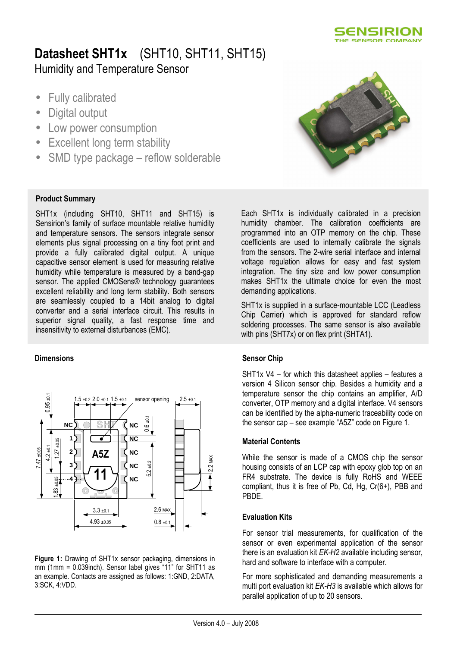

# Datasheet SHT1x (SHT10, SHT11, SHT15) Humidity and Temperature Sensor

- Fully calibrated
- Digital output
- Low power consumption
- Excellent long term stability
- SMD type package reflow solderable

#### Product Summary

SHT1x (including SHT10, SHT11 and SHT15) is Sensirion's family of surface mountable relative humidity and temperature sensors. The sensors integrate sensor elements plus signal processing on a tiny foot print and provide a fully calibrated digital output. A unique capacitive sensor element is used for measuring relative humidity while temperature is measured by a band-gap sensor. The applied CMOSens® technology guarantees excellent reliability and long term stability. Both sensors are seamlessly coupled to a 14bit analog to digital converter and a serial interface circuit. This results in superior signal quality, a fast response time and insensitivity to external disturbances (EMC).

#### **Dimensions**



Figure 1: Drawing of SHT1x sensor packaging, dimensions in mm (1mm = 0.039inch). Sensor label gives "11" for SHT11 as an example. Contacts are assigned as follows: 1:GND, 2:DATA, 3:SCK, 4:VDD.



Each SHT1x is individually calibrated in a precision humidity chamber. The calibration coefficients are programmed into an OTP memory on the chip. These coefficients are used to internally calibrate the signals from the sensors. The 2-wire serial interface and internal voltage regulation allows for easy and fast system integration. The tiny size and low power consumption makes SHT1x the ultimate choice for even the most demanding applications.

SHT1x is supplied in a surface-mountable LCC (Leadless Chip Carrier) which is approved for standard reflow soldering processes. The same sensor is also available with pins (SHT7x) or on flex print (SHTA1).

#### Sensor Chip

SHT1x V4 – for which this datasheet applies – features a version 4 Silicon sensor chip. Besides a humidity and a temperature sensor the chip contains an amplifier, A/D converter, OTP memory and a digital interface. V4 sensors can be identified by the alpha-numeric traceability code on the sensor cap – see example "A5Z" code on Figure 1.

#### Material Contents

While the sensor is made of a CMOS chip the sensor housing consists of an LCP cap with epoxy glob top on an FR4 substrate. The device is fully RoHS and WEEE compliant, thus it is free of Pb, Cd, Hg, Cr(6+), PBB and PBDE.

#### Evaluation Kits

For sensor trial measurements, for qualification of the sensor or even experimental application of the sensor there is an evaluation kit EK-H2 available including sensor, hard and software to interface with a computer.

For more sophisticated and demanding measurements a multi port evaluation kit EK-H3 is available which allows for parallel application of up to 20 sensors.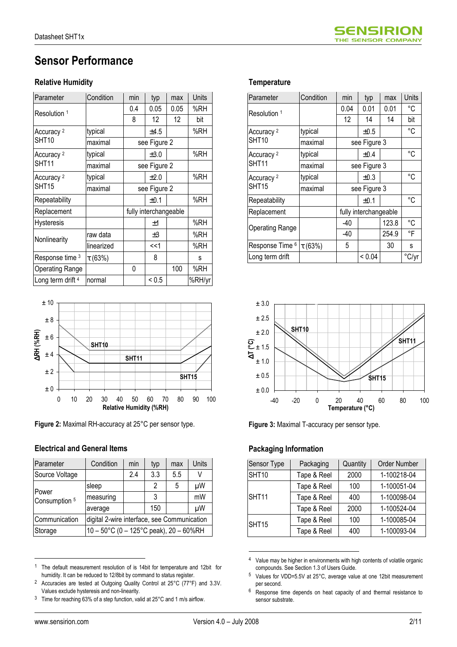

# Sensor Performance

#### **Relative Humidity**

| Parameter                    | Condition    | min          | typ                   | max  | <b>Units</b> |
|------------------------------|--------------|--------------|-----------------------|------|--------------|
| Resolution 1                 |              | 0.4          | 0.05                  | 0.05 | %RH          |
|                              |              | 8            | $12 \overline{ }$     | 12   | bit          |
| Accuracy <sup>2</sup>        | typical      |              | ±4.5                  |      | %RH          |
| SHT10                        | maximal      |              | see Figure 2          |      |              |
| Accuracy <sup>2</sup>        | typical      |              | $\pm 3.0$             |      | %RH          |
| SHT <sub>11</sub>            | maximal      |              | see Figure 2          |      |              |
| Accuracy <sup>2</sup>        | typical      |              | ±2.0                  |      | %RH          |
| SHT <sub>15</sub>            | maximal      | see Figure 2 |                       |      |              |
| Repeatability                |              |              | ±0.1                  |      | %RH          |
| Replacement                  |              |              | fully interchangeable |      |              |
| <b>Hysteresis</b>            |              |              | ±1                    |      | %RH          |
| Nonlinearity                 | raw data     |              | $\pm 3$               |      | %RH          |
|                              | linearized   |              | <<1                   |      | %RH          |
| Response time 3              | $\tau$ (63%) |              | 8                     |      | s            |
| <b>Operating Range</b>       |              | 0            |                       | 100  | %RH          |
| Long term drift <sup>4</sup> | normal       |              | ${}^{5}$ < 0.5        |      | %RH/yr       |



Figure 2: Maximal RH-accuracy at 25°C per sensor type.

#### Electrical and General Items

| Parameter              | Condition                                   | min | typ | max | Units |  |  |  |  |  |
|------------------------|---------------------------------------------|-----|-----|-----|-------|--|--|--|--|--|
| Source Voltage         |                                             | 2.4 | 3.3 | 5.5 | V     |  |  |  |  |  |
|                        | sleep                                       |     | 2   | 5   | μW    |  |  |  |  |  |
| Power<br>Consumption 5 | measuring                                   |     | 3   |     | mW    |  |  |  |  |  |
|                        | average                                     |     | 150 |     | μW    |  |  |  |  |  |
| Communication          | digital 2-wire interface, see Communication |     |     |     |       |  |  |  |  |  |
| Storage                | 10 - 50°C (0 - 125°C peak), 20 - 60%RH      |     |     |     |       |  |  |  |  |  |

<sup>1</sup> The default measurement resolution of is 14bit for temperature and 12bit for humidity. It can be reduced to 12/8bit by command to status register.

#### **Temperature**

| Parameter                  | Condition   | min          | typ                   | max   | Units |
|----------------------------|-------------|--------------|-----------------------|-------|-------|
| Resolution 1               |             | 0.04         | 0.01                  | 0.01  | °C    |
|                            |             | 12           | 14                    | 14    | bit   |
| Accuracy <sup>2</sup>      | typical     |              | ±0.5                  |       | °C    |
| SHT10                      | maximal     |              | see Figure 3          |       |       |
| Accuracy <sup>2</sup>      | typical     |              | $\pm 0.4$             |       | °C    |
| SHT11                      | maximal     | see Figure 3 |                       |       |       |
| Accuracy <sup>2</sup>      | typical     |              | $\pm 0.3$             |       | °C    |
| SHT15                      | maximal     | see Figure 3 |                       |       |       |
| Repeatability              |             |              | ±0.1                  |       | °C    |
| Replacement                |             |              | fully interchangeable |       |       |
| <b>Operating Range</b>     |             | -40          |                       | 123.8 | °C    |
|                            |             | -40          |                       | 254.9 | °F    |
| Response Time <sup>6</sup> | $\tau(63%)$ | 5            |                       | 30    | s     |
| Long term drift            |             |              | < 0.04                |       | °C/yr |



Figure 3: Maximal T-accuracy per sensor type.

#### Packaging Information

| Sensor Type       | Packaging   | Quantity | Order Number |  |  |  |
|-------------------|-------------|----------|--------------|--|--|--|
| SHT10             | Tape & Reel | 2000     | 1-100218-04  |  |  |  |
|                   | Tape & Reel | 100      | 1-100051-04  |  |  |  |
| SHT11             | Tape & Reel | 400      | 1-100098-04  |  |  |  |
|                   | Tape & Reel | 2000     | 1-100524-04  |  |  |  |
| SHT <sub>15</sub> | Tape & Reel | 100      | 1-100085-04  |  |  |  |
|                   | Tape & Reel | 400      | 1-100093-04  |  |  |  |

<sup>4</sup> Value may be higher in environments with high contents of volatile organic compounds. See Section 1.3 of Users Guide.

 $\overline{a}$ 

<sup>2</sup> Accuracies are tested at Outgoing Quality Control at 25°C (77°F) and 3.3V. Values exclude hysteresis and non-linearity.

 $3$  Time for reaching 63% of a step function, valid at 25°C and 1 m/s airflow.

<sup>&</sup>lt;sup>5</sup> Values for VDD=5.5V at 25°C, average value at one 12bit measurement per second.

<sup>6</sup> Response time depends on heat capacity of and thermal resistance to sensor substrate.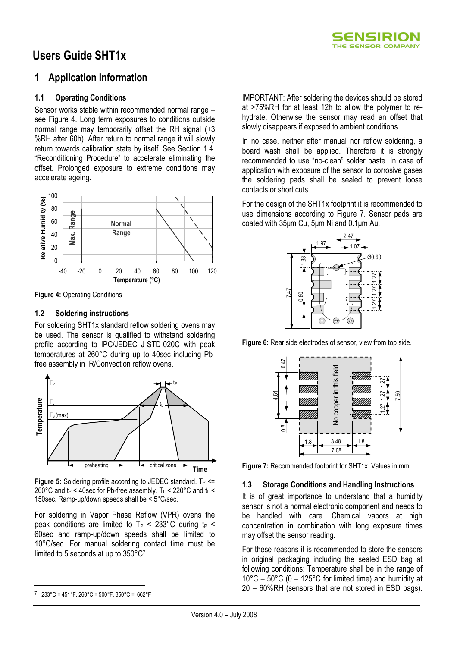

# Users Guide SHT1x

## 1 Application Information

#### 1.1 Operating Conditions

Sensor works stable within recommended normal range – see Figure 4. Long term exposures to conditions outside normal range may temporarily offset the RH signal (+3 %RH after 60h). After return to normal range it will slowly return towards calibration state by itself. See Section 1.4. "Reconditioning Procedure" to accelerate eliminating the offset. Prolonged exposure to extreme conditions may accelerate ageing.



Figure 4: Operating Conditions

#### 1.2 Soldering instructions

For soldering SHT1x standard reflow soldering ovens may be used. The sensor is qualified to withstand soldering profile according to IPC/JEDEC J-STD-020C with peak temperatures at 260°C during up to 40sec including Pbfree assembly in IR/Convection reflow ovens.



Figure 5: Soldering profile according to JEDEC standard.  $T_P \leq$ 260°C and  $t_P < 40$ sec for Pb-free assembly. T $L < 220$ °C and  $t_L <$ 150sec. Ramp-up/down speeds shall be < 5°C/sec.

For soldering in Vapor Phase Reflow (VPR) ovens the peak conditions are limited to  $T_P < 233^{\circ}$ C during t<sub>p</sub> < 60sec and ramp-up/down speeds shall be limited to 10°C/sec. For manual soldering contact time must be limited to 5 seconds at up to 350°C<sup>7</sup> .

 $\overline{a}$ 

IMPORTANT: After soldering the devices should be stored at >75%RH for at least 12h to allow the polymer to rehydrate. Otherwise the sensor may read an offset that slowly disappears if exposed to ambient conditions.

In no case, neither after manual nor reflow soldering, a board wash shall be applied. Therefore it is strongly recommended to use "no-clean" solder paste. In case of application with exposure of the sensor to corrosive gases the soldering pads shall be sealed to prevent loose contacts or short cuts.

For the design of the SHT1x footprint it is recommended to use dimensions according to Figure 7. Sensor pads are coated with 35µm Cu, 5µm Ni and 0.1µm Au.



Figure 6: Rear side electrodes of sensor, view from top side.



Figure 7: Recommended footprint for SHT1x. Values in mm.

#### 1.3 Storage Conditions and Handling Instructions

It is of great importance to understand that a humidity sensor is not a normal electronic component and needs to be handled with care. Chemical vapors at high concentration in combination with long exposure times may offset the sensor reading.

For these reasons it is recommended to store the sensors in original packaging including the sealed ESD bag at following conditions: Temperature shall be in the range of  $10^{\circ}$ C – 50 $^{\circ}$ C (0 – 125 $^{\circ}$ C for limited time) and humidity at

<sup>7</sup> 233°C = 451°F, 260°C = 500°F, 350°C = 662°F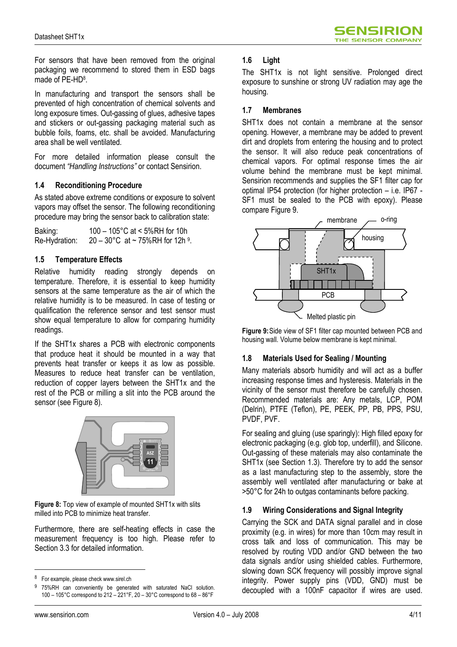For sensors that have been removed from the original packaging we recommend to stored them in ESD bags made of PE-HD<sup>8</sup>.

In manufacturing and transport the sensors shall be prevented of high concentration of chemical solvents and long exposure times. Out-gassing of glues, adhesive tapes and stickers or out-gassing packaging material such as bubble foils, foams, etc. shall be avoided. Manufacturing area shall be well ventilated.

For more detailed information please consult the document "Handling Instructions" or contact Sensirion.

#### 1.4 Reconditioning Procedure

As stated above extreme conditions or exposure to solvent vapors may offset the sensor. The following reconditioning procedure may bring the sensor back to calibration state:

Baking: 100 – 105°C at < 5%RH for 10h Re-Hydration:  $20-30^{\circ}$ C at ~ 75%RH for 12h  $^{9}$ .

#### 1.5 Temperature Effects

Relative humidity reading strongly depends on temperature. Therefore, it is essential to keep humidity sensors at the same temperature as the air of which the relative humidity is to be measured. In case of testing or qualification the reference sensor and test sensor must show equal temperature to allow for comparing humidity readings.

If the SHT1x shares a PCB with electronic components that produce heat it should be mounted in a way that prevents heat transfer or keeps it as low as possible. Measures to reduce heat transfer can be ventilation, reduction of copper layers between the SHT1x and the rest of the PCB or milling a slit into the PCB around the sensor (see Figure 8).



Figure 8: Top view of example of mounted SHT1x with slits milled into PCB to minimize heat transfer.

Furthermore, there are self-heating effects in case the measurement frequency is too high. Please refer to Section 3.3 for detailed information.

#### 1.6 Light

The SHT1x is not light sensitive. Prolonged direct exposure to sunshine or strong UV radiation may age the housing.

#### 1.7 Membranes

SHT1x does not contain a membrane at the sensor opening. However, a membrane may be added to prevent dirt and droplets from entering the housing and to protect the sensor. It will also reduce peak concentrations of chemical vapors. For optimal response times the air volume behind the membrane must be kept minimal. Sensirion recommends and supplies the SF1 filter cap for optimal IP54 protection (for higher protection – i.e. IP67 - SF1 must be sealed to the PCB with epoxy). Please compare Figure 9.



Figure 9: Side view of SF1 filter cap mounted between PCB and housing wall. Volume below membrane is kept minimal.

#### 1.8 Materials Used for Sealing / Mounting

Many materials absorb humidity and will act as a buffer increasing response times and hysteresis. Materials in the vicinity of the sensor must therefore be carefully chosen. Recommended materials are: Any metals, LCP, POM (Delrin), PTFE (Teflon), PE, PEEK, PP, PB, PPS, PSU, PVDF, PVF.

For sealing and gluing (use sparingly): High filled epoxy for electronic packaging (e.g. glob top, underfill), and Silicone. Out-gassing of these materials may also contaminate the SHT1x (see Section 1.3). Therefore try to add the sensor as a last manufacturing step to the assembly, store the assembly well ventilated after manufacturing or bake at >50°C for 24h to outgas contaminants before packing.

#### 1.9 Wiring Considerations and Signal Integrity

Carrying the SCK and DATA signal parallel and in close proximity (e.g. in wires) for more than 10cm may result in cross talk and loss of communication. This may be resolved by routing VDD and/or GND between the two data signals and/or using shielded cables. Furthermore, slowing down SCK frequency will possibly improve signal integrity. Power supply pins (VDD, GND) must be decoupled with a 100nF capacitor if wires are used.

<sup>&</sup>lt;sup>8</sup> For example, please check www.sirel.ch

<sup>9</sup> 75%RH can conveniently be generated with saturated NaCl solution. 100 – 105°C correspond to 212 – 221°F, 20 – 30°C correspond to 68 – 86°F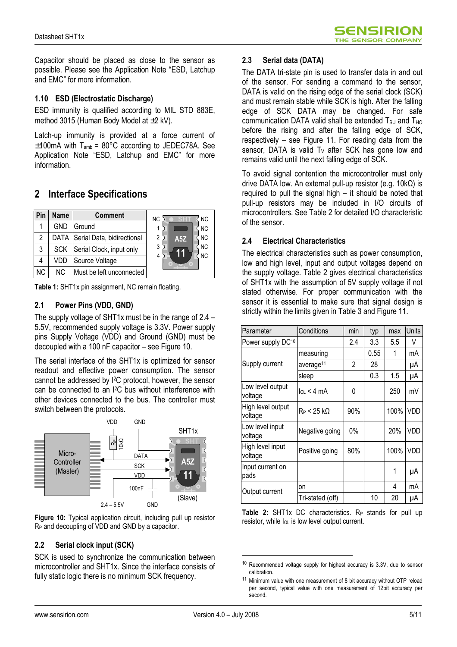SENSIRION THE SENSOR COMPANY

Capacitor should be placed as close to the sensor as possible. Please see the Application Note "ESD, Latchup and EMC" for more information.

#### 1.10 ESD (Electrostatic Discharge)

ESD immunity is qualified according to MIL STD 883E, method 3015 (Human Body Model at ±2 kV).

Latch-up immunity is provided at a force current of  $±100$ mA with T<sub>amb</sub> = 80°C according to JEDEC78A. See Application Note "ESD, Latchup and EMC" for more information.

## 2 Interface Specifications

| Pin       | <b>Name</b> | <b>Comment</b>                  | <b>NC</b><br><b>NC</b> |
|-----------|-------------|---------------------------------|------------------------|
|           | <b>GND</b>  | Ground                          | <b>NC</b>              |
| 2         |             | DATA Serial Data, bidirectional | <b>NC</b><br>2<br>A5Z  |
| 3         | <b>SCK</b>  | Serial Clock, input only        | <b>NC</b><br>3         |
| 4         | VDD         | Source Voltage                  | <b>NC</b><br>4         |
| <b>NC</b> | NC.         | Must be left unconnected        |                        |

Table 1: SHT1x pin assignment. NC remain floating.

#### 2.1 Power Pins (VDD, GND)

The supply voltage of SHT1x must be in the range of 2.4 – 5.5V, recommended supply voltage is 3.3V. Power supply pins Supply Voltage (VDD) and Ground (GND) must be decoupled with a 100 nF capacitor – see Figure 10.

The serial interface of the SHT1x is optimized for sensor readout and effective power consumption. The sensor cannot be addressed by I2C protocol, however, the sensor can be connected to an I2C bus without interference with other devices connected to the bus. The controller must switch between the protocols.



Figure 10: Typical application circuit, including pull up resistor  $R_P$  and decoupling of VDD and GND by a capacitor.

#### 2.2 Serial clock input (SCK)

SCK is used to synchronize the communication between microcontroller and SHT1x. Since the interface consists of fully static logic there is no minimum SCK frequency.

#### 2.3 Serial data (DATA)

The DATA tri-state pin is used to transfer data in and out of the sensor. For sending a command to the sensor, DATA is valid on the rising edge of the serial clock (SCK) and must remain stable while SCK is high. After the falling edge of SCK DATA may be changed. For safe communication DATA valid shall be extended  $T_{\text{SU}}$  and  $T_{\text{HO}}$ before the rising and after the falling edge of SCK, respectively – see Figure 11. For reading data from the sensor, DATA is valid  $T_v$  after SCK has gone low and remains valid until the next falling edge of SCK.

To avoid signal contention the microcontroller must only drive DATA low. An external pull-up resistor (e.g. 10kΩ) is required to pull the signal high – it should be noted that pull-up resistors may be included in I/O circuits of microcontrollers. See Table 2 for detailed I/O characteristic of the sensor.

### 2.4 Electrical Characteristics

The electrical characteristics such as power consumption, low and high level, input and output voltages depend on the supply voltage. Table 2 gives electrical characteristics of SHT1x with the assumption of 5V supply voltage if not stated otherwise. For proper communication with the sensor it is essential to make sure that signal design is strictly within the limits given in Table 3 and Figure 11.

| Parameter                    | Conditions            | min   | typ  | max  | Units      |
|------------------------------|-----------------------|-------|------|------|------------|
| Power supply DC10            |                       | 2.4   | 3.3  | 5.5  | V          |
|                              | measuring             |       | 0.55 | 1    | mA         |
| Supply current               | average <sup>11</sup> | 2     | 28   |      | μA         |
|                              | sleep                 |       | 0.3  | 1.5  | μA         |
| Low level output<br>voltage  | $\ln 4 \text{ mA}$    | 0     |      | 250  | mV         |
| High level output<br>voltage | $R_P < 25$ k $\Omega$ | 90%   |      | 100% | <b>VDD</b> |
| Low level input<br>voltage   | Negative going        | $0\%$ |      | 20%  | VDD        |
| High level input<br>voltage  | Positive going        | 80%   |      | 100% | <b>VDD</b> |
| Input current on<br>pads     |                       |       |      | 1    | μA         |
| Output current               | on                    |       |      | 4    | mA         |
|                              | Tri-stated (off)      |       | 10   | 20   | μA         |

Table 2: SHT1x DC characteristics.  $R_P$  stands for pull up resistor, while  $I_{OL}$  is low level output current.

<sup>&</sup>lt;sup>10</sup> Recommended voltage supply for highest accuracy is 3.3V, due to sensor calibration.

<sup>11</sup> Minimum value with one measurement of 8 bit accuracy without OTP reload per second, typical value with one measurement of 12bit accuracy per second.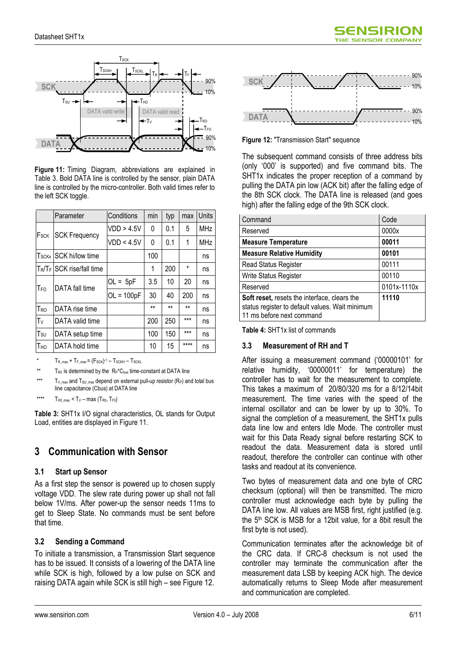

Figure 11: Timing Diagram, abbreviations are explained in Table 3. Bold DATA line is controlled by the sensor, plain DATA line is controlled by the micro-controller. Both valid times refer to the left SCK toggle.

|                 | Parameter                    | Conditions   | min  | typ  | max      | Units      |
|-----------------|------------------------------|--------------|------|------|----------|------------|
| Fsck            | <b>SCK Frequency</b>         | VDD > 4.5V   | 0    | 0.1  | 5        | <b>MHz</b> |
|                 |                              | VDD < 4.5V   | 0    | 0.1  | 1        | <b>MHz</b> |
| <b>T</b> sckx   | <b>ISCK hi/low time</b>      |              | 100  |      |          | ns         |
|                 | $T_R/T_F$ SCK rise/fall time |              | 1    | 200  | $^\star$ | ns         |
| T <sub>FO</sub> | DATA fall time               | $OL = 5pF$   | 3.5  | 10   | 20       | ns         |
|                 |                              | $OL = 100pF$ | 30   | 40   | 200      | ns         |
| T <sub>RO</sub> | DATA rise time               |              | $**$ | $**$ | $**$     | ns         |
| Tν              | DATA valid time              |              | 200  | 250  | $***$    | ns         |
| T <sub>su</sub> | DATA setup time              |              | 100  | 150  | $***$    | ns         |
| Tно             | DATA hold time               |              | 10   | 15   | ****     | ns         |

\*  $T_{\sf R\_max}$  +  $T_{\sf F\_max}$  =  $(F_{\sf SCK})$  1  $T_{\sf SCKH}$   $T_{\sf SCKL}$ 

```
** T_{R0} is determined by the R_P<sup>*</sup>C<sub>bus</sub> time-constant at DATA line
```
\*\*\*  $T_V$ <sub>max</sub> and  $T_{SU}$ <sub>max</sub> depend on external pull-up resistor (R<sub>P</sub>) and total bus line capacitance (Cbus) at DATA line

\*\*\*\*  $T_{H0 \text{ max}} < T_V - \text{max} (T_{R0}, T_{F0})$ 

Table 3: SHT1x I/O signal characteristics, OL stands for Output Load, entities are displayed in Figure 11.

## 3 Communication with Sensor

#### 3.1 Start up Sensor

As a first step the sensor is powered up to chosen supply voltage VDD. The slew rate during power up shall not fall below 1V/ms. After power-up the sensor needs 11ms to get to Sleep State. No commands must be sent before that time.

### 3.2 Sending a Command

To initiate a transmission, a Transmission Start sequence has to be issued. It consists of a lowering of the DATA line while SCK is high, followed by a low pulse on SCK and raising DATA again while SCK is still high – see Figure 12.



SENSIRIO THE SENSOR COMPANY

**Figure 12: "Transmission Start" sequence** 

The subsequent command consists of three address bits (only '000' is supported) and five command bits. The SHT1x indicates the proper reception of a command by pulling the DATA pin low (ACK bit) after the falling edge of the 8th SCK clock. The DATA line is released (and goes high) after the falling edge of the 9th SCK clock.

| Command                                                                                                                             | Code        |
|-------------------------------------------------------------------------------------------------------------------------------------|-------------|
| Reserved                                                                                                                            | 0000x       |
| <b>Measure Temperature</b>                                                                                                          | 00011       |
| <b>Measure Relative Humidity</b>                                                                                                    | 00101       |
| <b>Read Status Register</b>                                                                                                         | 00111       |
| Write Status Register                                                                                                               | 00110       |
| Reserved                                                                                                                            | 0101x-1110x |
| <b>Soft reset, resets the interface, clears the</b><br>status register to default values. Wait minimum<br>11 ms before next command | 11110       |

Table 4: SHT1x list of commands

### 3.3 Measurement of RH and T

After issuing a measurement command ('00000101' for relative humidity, '00000011' for temperature) the controller has to wait for the measurement to complete. This takes a maximum of 20/80/320 ms for a 8/12/14bit measurement. The time varies with the speed of the internal oscillator and can be lower by up to 30%. To signal the completion of a measurement, the SHT1x pulls data line low and enters Idle Mode. The controller must wait for this Data Ready signal before restarting SCK to readout the data. Measurement data is stored until readout, therefore the controller can continue with other tasks and readout at its convenience.

Two bytes of measurement data and one byte of CRC checksum (optional) will then be transmitted. The micro controller must acknowledge each byte by pulling the DATA line low. All values are MSB first, right justified (e.g. the 5th SCK is MSB for a 12bit value, for a 8bit result the first byte is not used).

Communication terminates after the acknowledge bit of the CRC data. If CRC-8 checksum is not used the controller may terminate the communication after the measurement data LSB by keeping ACK high. The device automatically returns to Sleep Mode after measurement and communication are completed.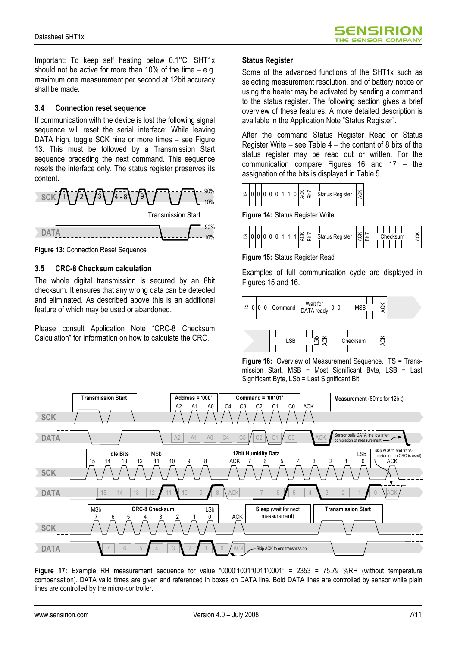Important: To keep self heating below 0.1°C, SHT1x should not be active for more than 10% of the time – e.g. maximum one measurement per second at 12bit accuracy shall be made.

#### 3.4 Connection reset sequence

If communication with the device is lost the following signal sequence will reset the serial interface: While leaving DATA high, toggle SCK nine or more times – see Figure 13. This must be followed by a Transmission Start sequence preceding the next command. This sequence resets the interface only. The status register preserves its content.



Figure 13: Connection Reset Sequence

#### 3.5 CRC-8 Checksum calculation

The whole digital transmission is secured by an 8bit checksum. It ensures that any wrong data can be detected and eliminated. As described above this is an additional feature of which may be used or abandoned.

Please consult Application Note "CRC-8 Checksum Calculation" for information on how to calculate the CRC.

#### Status Register

Some of the advanced functions of the SHT1x such as selecting measurement resolution, end of battery notice or using the heater may be activated by sending a command to the status register. The following section gives a brief overview of these features. A more detailed description is available in the Application Note "Status Register".

After the command Status Register Read or Status Register Write – see Table 4 – the content of 8 bits of the status register may be read out or written. For the communication compare Figures 16 and 17 – the assignation of the bits is displayed in Table 5.



Figure 14: Status Register Write

| ၯ |  |  |  |  |  |  |  |  |  | öñ |  | <b>tot</b> | us' |  | Register |  |  | ⊻<br>75<br>c | 崈 |  |  | Checksum |  |  |  |  | ×<br>. . |
|---|--|--|--|--|--|--|--|--|--|----|--|------------|-----|--|----------|--|--|--------------|---|--|--|----------|--|--|--|--|----------|
|---|--|--|--|--|--|--|--|--|--|----|--|------------|-----|--|----------|--|--|--------------|---|--|--|----------|--|--|--|--|----------|

Figure 15: Status Register Read

Examples of full communication cycle are displayed in Figures 15 and 16.





Figure 16: Overview of Measurement Sequence. TS = Transmission Start, MSB = Most Significant Byte, LSB = Last Significant Byte, LSb = Last Significant Bit.



Figure 17: Example RH measurement sequence for value "0000'1001"0011'0001" = 2353 = 75.79 %RH (without temperature compensation). DATA valid times are given and referenced in boxes on DATA line. Bold DATA lines are controlled by sensor while plain lines are controlled by the micro-controller.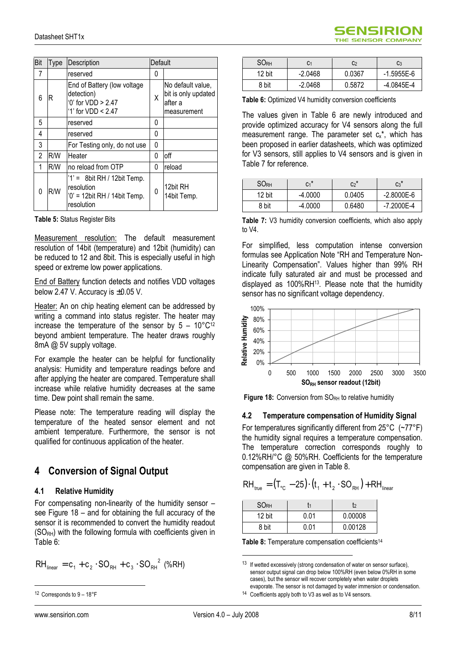| Bit | Type | Description                                                                                 | Default |                                                                    |
|-----|------|---------------------------------------------------------------------------------------------|---------|--------------------------------------------------------------------|
| 7   |      | reserved                                                                                    | 0       |                                                                    |
| 6   | R    | End of Battery (low voltage<br>detection)<br>$0'$ for VDD > 2.47<br>'1' for $VDD < 2.47$    | Χ       | No default value,<br>bit is only updated<br>after a<br>measurement |
| 5   |      | reserved                                                                                    | 0       |                                                                    |
| 4   |      | reserved                                                                                    | 0       |                                                                    |
| 3   |      | For Testing only, do not use                                                                | 0       |                                                                    |
| 2   | R/W  | Heater                                                                                      | 0       | off                                                                |
| 1   | R/W  | no reload from OTP                                                                          | 0       | reload                                                             |
| 0   | R/W  | $1' = 8$ bit RH / 12bit Temp.<br>resolution<br>$'0'$ = 12bit RH / 14bit Temp.<br>resolution | 0       | 12bit RH<br>14bit Temp.                                            |

Table 5: Status Register Bits

Measurement resolution: The default measurement resolution of 14bit (temperature) and 12bit (humidity) can be reduced to 12 and 8bit. This is especially useful in high speed or extreme low power applications.

End of Battery function detects and notifies VDD voltages below 2.47 V. Accuracy is ±0.05 V.

Heater: An on chip heating element can be addressed by writing a command into status register. The heater may increase the temperature of the sensor by  $5 - 10^{\circ}C^{12}$ beyond ambient temperature. The heater draws roughly 8mA @ 5V supply voltage.

For example the heater can be helpful for functionality analysis: Humidity and temperature readings before and after applying the heater are compared. Temperature shall increase while relative humidity decreases at the same time. Dew point shall remain the same.

Please note: The temperature reading will display the temperature of the heated sensor element and not ambient temperature. Furthermore, the sensor is not qualified for continuous application of the heater.

## 4 Conversion of Signal Output

#### 4.1 Relative Humidity

For compensating non-linearity of the humidity sensor – see Figure 18 – and for obtaining the full accuracy of the sensor it is recommended to convert the humidity readout  $(SO<sub>RH</sub>)$  with the following formula with coefficients given in Table 6:

$$
RH_{\text{linear}} = c_1 + c_2 \cdot SO_{RH} + c_3 \cdot SO_{RH}^2 \text{ (%RH)}
$$

| <b>SORH</b> | C1        | C <sub>2</sub> | C <sub>3</sub> |
|-------------|-----------|----------------|----------------|
| 12 bit      | $-2.0468$ | 0.0367         | $-1.5955E-6$   |
| 8 bit       | $-2.0468$ | 0.5872         | $-4.0845E - 4$ |

SENSIRIO THE SENSOR COMPANY

Table 6: Optimized V4 humidity conversion coefficients

The values given in Table 6 are newly introduced and provide optimized accuracy for V4 sensors along the full measurement range. The parameter set  $c_{x}^{*}$ , which has been proposed in earlier datasheets, which was optimized for V3 sensors, still applies to V4 sensors and is given in Table 7 for reference.

| <b>SORH</b> | $C_1$ <sup>*</sup> | $C_2$ * | $C_3$ <sup>*</sup> |
|-------------|--------------------|---------|--------------------|
| 12 bit      | $-4.0000$          | 0.0405  | $-2.8000E-6$       |
| 8 bit       | $-4.0000$          | 0.6480  | -7.2000E-4         |

Table 7: V3 humidity conversion coefficients, which also apply to V4.

For simplified, less computation intense conversion formulas see Application Note "RH and Temperature Non-Linearity Compensation". Values higher than 99% RH indicate fully saturated air and must be processed and displayed as 100%RH13. Please note that the humidity sensor has no significant voltage dependency.



Figure 18: Conversion from SORH to relative humidity

#### 4.2 Temperature compensation of Humidity Signal

For temperatures significantly different from 25°C (~77°F) the humidity signal requires a temperature compensation. The temperature correction corresponds roughly to 0.12%RH/°C @ 50%RH. Coefficients for the temperature compensation are given in Table 8.

$$
RH_{true} = (T_{\circ c} - 25) \cdot (t_1 + t_2 \cdot SO_{RH}) + RH_{linear}
$$

| <b>SORH</b> |      |         |
|-------------|------|---------|
| 12 bit      | 0.01 | 0.00008 |
| 8 bit       | በ በ1 | 0.00128 |

Table 8: Temperature compensation coefficients<sup>14</sup>

 $\overline{a}$ 

<sup>12</sup> Corresponds to 9 – 18°F

<sup>&</sup>lt;sup>13</sup> If wetted excessively (strong condensation of water on sensor surface), sensor output signal can drop below 100%RH (even below 0%RH in some cases), but the sensor will recover completely when water droplets evaporate. The sensor is not damaged by water immersion or condensation.

<sup>&</sup>lt;sup>14</sup> Coefficients apply both to V3 as well as to V4 sensors.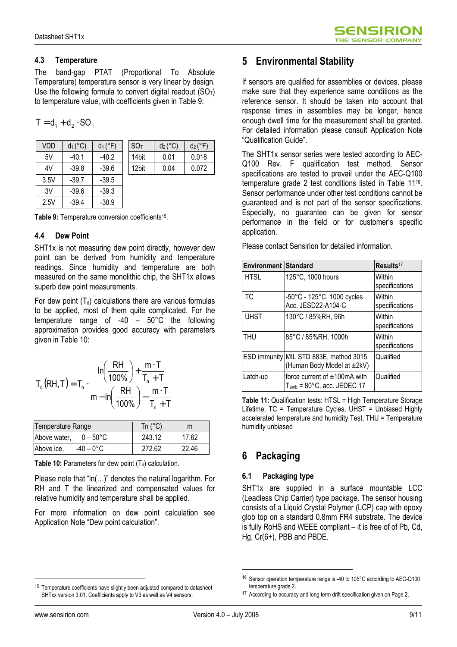### 4.3 Temperature

The band-gap PTAT (Proportional To Absolute Temperature) temperature sensor is very linear by design. Use the following formula to convert digital readout  $(SO<sub>T</sub>)$ to temperature value, with coefficients given in Table 9:

 $T = d_1 + d_2 \cdot SO_{\tau}$ 

| <b>VDD</b> | $d_1$ (°C) | $d_1$ ( $\degree$ F) | <b>SOT</b> | $d_2$ (°C) | $d_2$ ( $\degree$ F) |
|------------|------------|----------------------|------------|------------|----------------------|
| 5V         | $-40.1$    | $-40.2$              | 14bit      | 0.01       | 0.018                |
| 4V         | $-39.8$    | $-39.6$              | 12bit      | 0.04       | 0.072                |
| 3.5V       | $-39.7$    | $-39.5$              |            |            |                      |
| 3V         | $-39.6$    | $-39.3$              |            |            |                      |
| 2.5V       | $-39.4$    | $-38.9$              |            |            |                      |

Table 9: Temperature conversion coefficients<sup>15</sup>.

#### 4.4 Dew Point

SHT1x is not measuring dew point directly, however dew point can be derived from humidity and temperature readings. Since humidity and temperature are both measured on the same monolithic chip, the SHT1x allows superb dew point measurements.

For dew point  $(T_d)$  calculations there are various formulas to be applied, most of them quite complicated. For the temperature range of -40 – 50°C the following approximation provides good accuracy with parameters given in Table 10:

$$
T_{d}(RH,T)=T_{n}\cdot\frac{\text{ln}\left(\displaystyle\frac{RH}{100\%}\right)+\displaystyle\frac{m\cdot T}{T_{n}+T}}{m-\text{ln}\left(\displaystyle\frac{RH}{100\%}\right)-\displaystyle\frac{m\cdot T}{T_{n}+T}}
$$

| Temperature Range                  | Tn $(^{\circ}C)$ | m     |
|------------------------------------|------------------|-------|
| Above water,<br>$0 - 50^{\circ}$ C | 243.12           | 17.62 |
| Above ice,<br>$-40 - 0^{\circ}$ C  | 272.62           | 22.46 |

**Table 10:** Parameters for dew point  $(T_d)$  calculation.

Please note that "ln(…)" denotes the natural logarithm. For RH and T the linearized and compensated values for relative humidity and temperature shall be applied.

For more information on dew point calculation see Application Note "Dew point calculation".

## 5 Environmental Stability

If sensors are qualified for assemblies or devices, please make sure that they experience same conditions as the reference sensor. It should be taken into account that response times in assemblies may be longer, hence enough dwell time for the measurement shall be granted. For detailed information please consult Application Note "Qualification Guide".

The SHT1x sensor series were tested according to AEC-Q100 Rev. F qualification test method. Sensor specifications are tested to prevail under the AEC-Q100 temperature grade 2 test conditions listed in Table 11<sup>16</sup>. Sensor performance under other test conditions cannot be guaranteed and is not part of the sensor specifications. Especially, no guarantee can be given for sensor performance in the field or for customer's specific application.

| <b>Environment Standard</b> |                                                                            | Results <sup>17</sup>    |
|-----------------------------|----------------------------------------------------------------------------|--------------------------|
| <b>HTSL</b>                 | 125°C, 1000 hours                                                          | Within<br>specifications |
| TC.                         | $-50^{\circ}$ C - 125 $^{\circ}$ C, 1000 cycles<br>Acc. JESD22-A104-C      | Within<br>specifications |
| <b>UHST</b>                 | 130°C / 85%RH, 96h                                                         | Within<br>specifications |
| <b>THU</b>                  | 85°C / 85%RH, 1000h                                                        | Within<br>specifications |
|                             | ESD immunity MIL STD 883E, method 3015<br>(Human Body Model at ±2kV)       | Qualified                |
| Latch-up                    | force current of ±100mA with<br>$T_{amb}$ = 80 $^{\circ}$ C, acc. JEDEC 17 | Qualified                |

Please contact Sensirion for detailed information.

Table 11: Qualification tests: HTSL = High Temperature Storage Lifetime, TC = Temperature Cycles, UHST = Unbiased Highly accelerated temperature and humidity Test, THU = Temperature humidity unbiased

# 6 Packaging

### 6.1 Packaging type

SHT1x are supplied in a surface mountable LCC (Leadless Chip Carrier) type package. The sensor housing consists of a Liquid Crystal Polymer (LCP) cap with epoxy glob top on a standard 0.8mm FR4 substrate. The device is fully RoHS and WEEE compliant – it is free of of Pb, Cd, Hg, Cr(6+), PBB and PBDE.

 $\overline{a}$ 15 Temperature coefficients have slightly been adjusted compared to datasheet SHTxx version 3.01. Coefficients apply to V3 as well as V4 sensors.

<sup>&</sup>lt;sup>16</sup> Sensor operation temperature range is -40 to 105°C according to AEC-Q100 temperature grade 2.

<sup>&</sup>lt;sup>17</sup> According to accuracy and long term drift specification given on Page 2.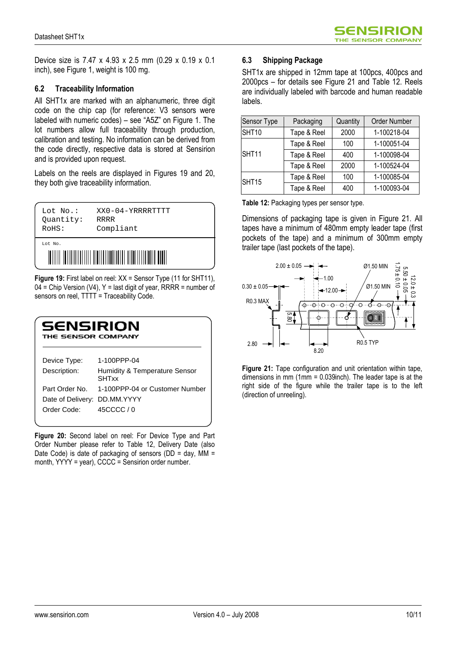Device size is 7.47 x 4.93 x 2.5 mm (0.29 x 0.19 x 0.1 inch), see Figure 1, weight is 100 mg.

#### 6.2 Traceability Information

All SHT1x are marked with an alphanumeric, three digit code on the chip cap (for reference: V3 sensors were labeled with numeric codes) – see "A5Z" on Figure 1. The lot numbers allow full traceability through production, calibration and testing. No information can be derived from the code directly, respective data is stored at Sensirion and is provided upon request.

Labels on the reels are displayed in Figures 19 and 20, they both give traceability information.



Figure 19: First label on reel: XX = Sensor Type (11 for SHT11),  $04$  = Chip Version (V4), Y = last digit of year, RRRR = number of sensors on reel, TTTT = Traceability Code.

| SENSIRION<br>THE SENSOR COMPANY                               |                                                              |  |  |
|---------------------------------------------------------------|--------------------------------------------------------------|--|--|
| Device Type:<br>Description:                                  | 1-100PPP-04<br>Humidity & Temperature Sensor<br><b>SHTxx</b> |  |  |
| Part Order No.<br>Date of Delivery: DD.MM.YYYY<br>Order Code: | 1-100PPP-04 or Customer Number<br>45CCCC/0                   |  |  |

Figure 20: Second label on reel: For Device Type and Part Order Number please refer to Table 12, Delivery Date (also Date Code) is date of packaging of sensors (DD = day,  $MM =$ month, YYYY = year), CCCC = Sensirion order number.

#### 6.3 Shipping Package

SHT1x are shipped in 12mm tape at 100pcs, 400pcs and 2000pcs – for details see Figure 21 and Table 12. Reels are individually labeled with barcode and human readable labels.

| Sensor Type  | Packaging           | Quantity | Order Number |
|--------------|---------------------|----------|--------------|
| SHT10        | 2000<br>Tape & Reel |          | 1-100218-04  |
| <b>SHT11</b> | Tape & Reel         | 100      | 1-100051-04  |
|              | Tape & Reel         | 400      | 1-100098-04  |
|              | Tape & Reel         | 2000     | 1-100524-04  |
| SHT15        | Tape & Reel         | 100      | 1-100085-04  |
|              | Tape & Reel         | 400      | 1-100093-04  |

Table 12: Packaging types per sensor type.

Dimensions of packaging tape is given in Figure 21. All tapes have a minimum of 480mm empty leader tape (first pockets of the tape) and a minimum of 300mm empty trailer tape (last pockets of the tape).



Figure 21: Tape configuration and unit orientation within tape, dimensions in mm (1mm = 0.039inch). The leader tape is at the right side of the figure while the trailer tape is to the left (direction of unreeling).